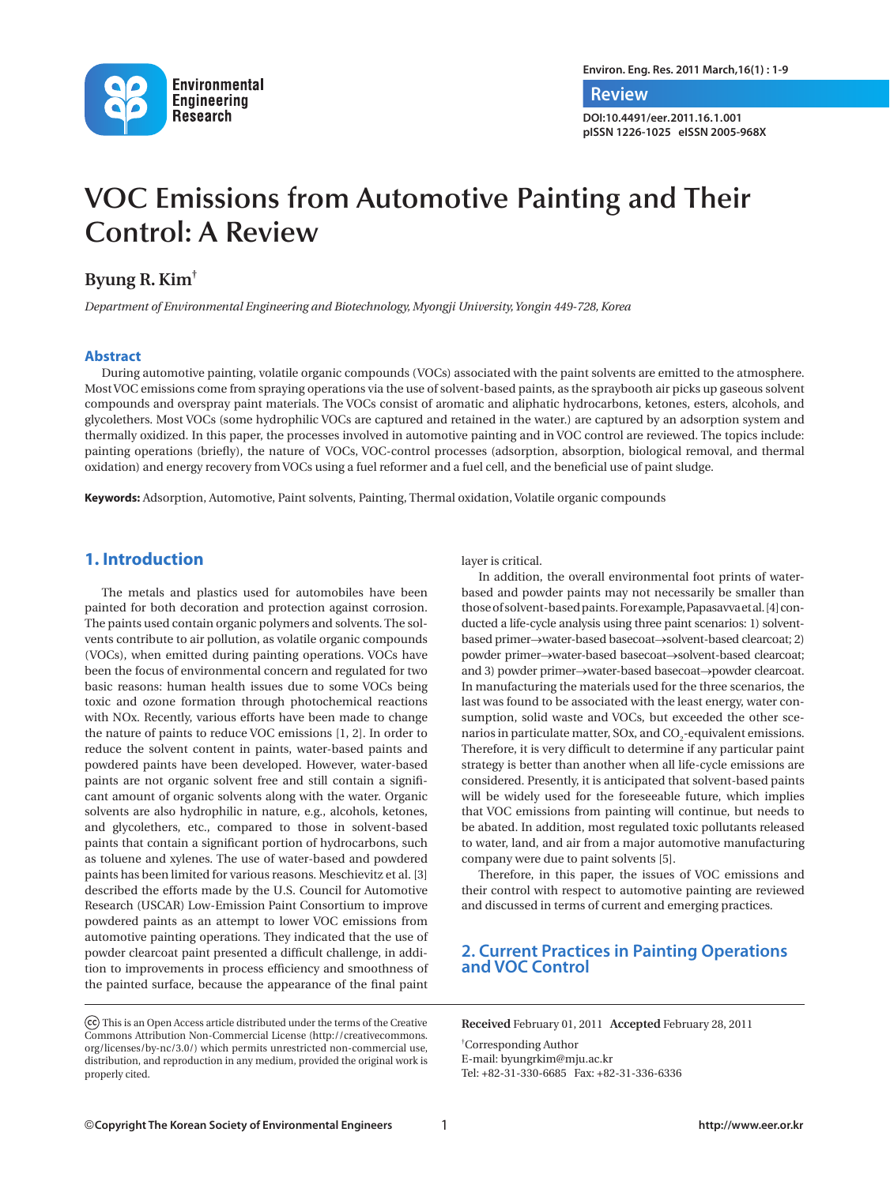

**Environ. Eng. Res. 2011 March,16(1) : 1-9**

 **Review**

**DOI:10.4491/eer.2011.16.1.001 pISSN 1226-1025 eISSN 2005-968X**

# **VOC Emissions from Automotive Painting and Their Control: A Review**

## **Byung R. Kim†**

*Department of Environmental Engineering and Biotechnology, Myongji University, Yongin 449-728, Korea*

#### **Abstract**

During automotive painting, volatile organic compounds (VOCs) associated with the paint solvents are emitted to the atmosphere. Most VOC emissions come from spraying operations via the use of solvent-based paints, as the spraybooth air picks up gaseous solvent compounds and overspray paint materials. The VOCs consist of aromatic and aliphatic hydrocarbons, ketones, esters, alcohols, and glycolethers. Most VOCs (some hydrophilic VOCs are captured and retained in the water.) are captured by an adsorption system and thermally oxidized. In this paper, the processes involved in automotive painting and in VOC control are reviewed. The topics include: painting operations (briefly), the nature of VOCs, VOC-control processes (adsorption, absorption, biological removal, and thermal oxidation) and energy recovery from VOCs using a fuel reformer and a fuel cell, and the beneficial use of paint sludge.

**Keywords:** Adsorption, Automotive, Paint solvents, Painting, Thermal oxidation, Volatile organic compounds

#### **1. Introduction**

The metals and plastics used for automobiles have been painted for both decoration and protection against corrosion. The paints used contain organic polymers and solvents. The solvents contribute to air pollution, as volatile organic compounds (VOCs), when emitted during painting operations. VOCs have been the focus of environmental concern and regulated for two basic reasons: human health issues due to some VOCs being toxic and ozone formation through photochemical reactions with NOx. Recently, various efforts have been made to change the nature of paints to reduce VOC emissions [1, 2]. In order to reduce the solvent content in paints, water-based paints and powdered paints have been developed. However, water-based paints are not organic solvent free and still contain a significant amount of organic solvents along with the water. Organic solvents are also hydrophilic in nature, e.g., alcohols, ketones, and glycolethers, etc., compared to those in solvent-based paints that contain a significant portion of hydrocarbons, such as toluene and xylenes. The use of water-based and powdered paints has been limited for various reasons. Meschievitz et al. [3] described the efforts made by the U.S. Council for Automotive Research (USCAR) Low-Emission Paint Consortium to improve powdered paints as an attempt to lower VOC emissions from automotive painting operations. They indicated that the use of powder clearcoat paint presented a difficult challenge, in addition to improvements in process efficiency and smoothness of the painted surface, because the appearance of the final paint

 This is an Open Access article distributed under the terms of the Creative Commons Attribution Non-Commercial License (http://creativecommons. org/licenses/by-nc/3.0/) which permits unrestricted non-commercial use, distribution, and reproduction in any medium, provided the original work is properly cited.

layer is critical.

In addition, the overall environmental foot prints of waterbased and powder paints may not necessarily be smaller than those of solvent-based paints. For example, Papasavva et al. [4] conducted a life-cycle analysis using three paint scenarios: 1) solventbased primer→water-based basecoat→solvent-based clearcoat; 2) powder primer→water-based basecoat→solvent-based clearcoat; and 3) powder primer→water-based basecoat→powder clearcoat. In manufacturing the materials used for the three scenarios, the last was found to be associated with the least energy, water consumption, solid waste and VOCs, but exceeded the other scenarios in particulate matter, SOx, and  $\mathrm{CO}_2$ -equivalent emissions. Therefore, it is very difficult to determine if any particular paint strategy is better than another when all life-cycle emissions are considered. Presently, it is anticipated that solvent-based paints will be widely used for the foreseeable future, which implies that VOC emissions from painting will continue, but needs to be abated. In addition, most regulated toxic pollutants released to water, land, and air from a major automotive manufacturing company were due to paint solvents [5].

Therefore, in this paper, the issues of VOC emissions and their control with respect to automotive painting are reviewed and discussed in terms of current and emerging practices.

#### **2. Current Practices in Painting Operations and VOC Control**

**Received** February 01, 2011 **Accepted** February 28, 2011

† Corresponding Author E-mail: byungrkim@mju.ac.kr Tel: +82-31-330-6685 Fax: +82-31-336-6336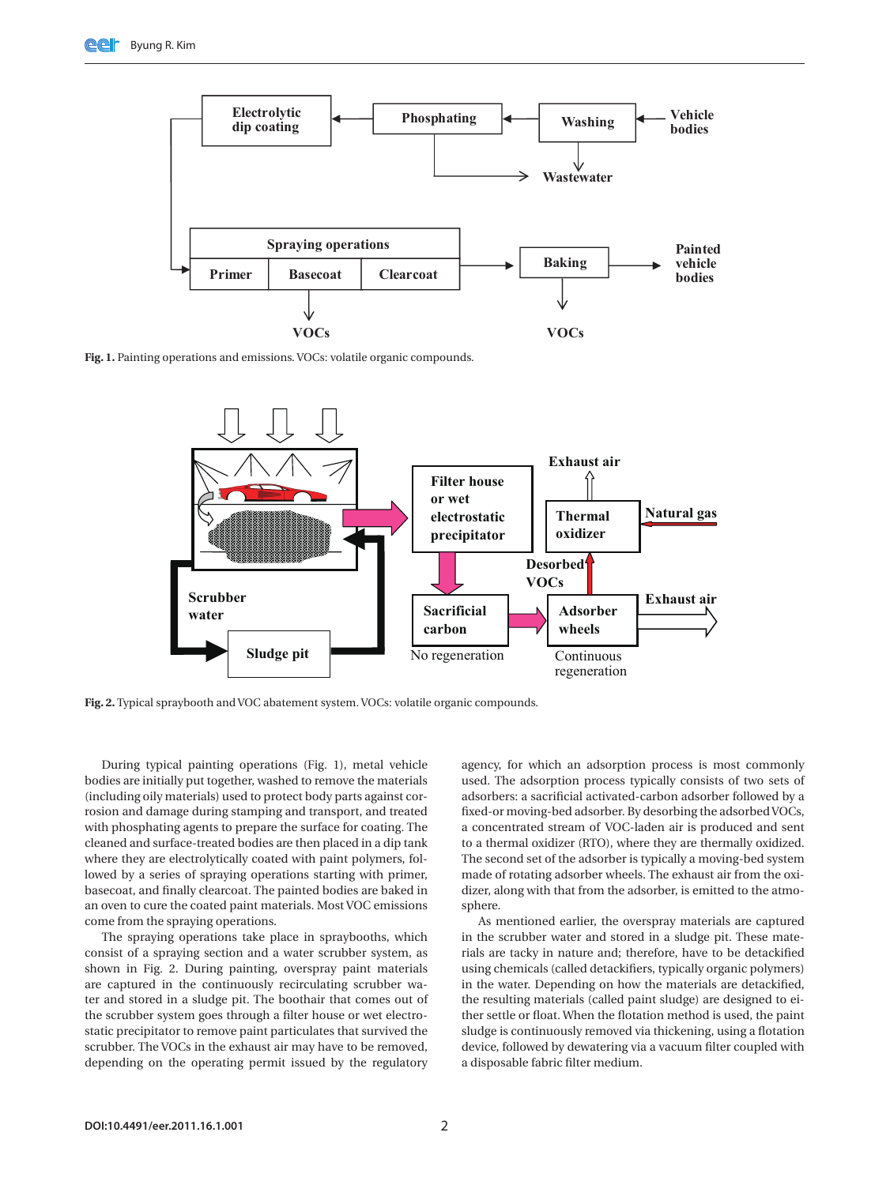

**Fig. 1.** Painting operations and emissions. VOCs: volatile organic compounds.



**Fig. 2.** Typical spraybooth and VOC abatement system. VOCs: volatile organic compounds.

During typical painting operations (Fig. 1), metal vehicle bodies are initially put together, washed to remove the materials (including oily materials) used to protect body parts against corrosion and damage during stamping and transport, and treated with phosphating agents to prepare the surface for coating. The cleaned and surface-treated bodies are then placed in a dip tank where they are electrolytically coated with paint polymers, followed by a series of spraying operations starting with primer, basecoat, and finally clearcoat. The painted bodies are baked in an oven to cure the coated paint materials. Most VOC emissions come from the spraying operations.

The spraying operations take place in spraybooths, which consist of a spraying section and a water scrubber system, as shown in Fig. 2. During painting, overspray paint materials are captured in the continuously recirculating scrubber water and stored in a sludge pit. The boothair that comes out of the scrubber system goes through a filter house or wet electrostatic precipitator to remove paint particulates that survived the scrubber. The VOCs in the exhaust air may have to be removed, depending on the operating permit issued by the regulatory

agency, for which an adsorption process is most commonly used. The adsorption process typically consists of two sets of adsorbers: a sacrificial activated-carbon adsorber followed by a fixed-or moving-bed adsorber. By desorbing the adsorbed VOCs, a concentrated stream of VOC-laden air is produced and sent to a thermal oxidizer (RTO), where they are thermally oxidized. The second set of the adsorber is typically a moving-bed system made of rotating adsorber wheels. The exhaust air from the oxidizer, along with that from the adsorber, is emitted to the atmosphere

As mentioned earlier, the overspray materials are captured in the scrubber water and stored in a sludge pit. These materials are tacky in nature and; therefore, have to be detackified using chemicals (called detackifiers, typically organic polymers) in the water. Depending on how the materials are detackified, the resulting materials (called paint sludge) are designed to either settle or float. When the flotation method is used, the paint sludge is continuously removed via thickening, using a flotation device, followed by dewatering via a vacuum filter coupled with a disposable fabric filter medium.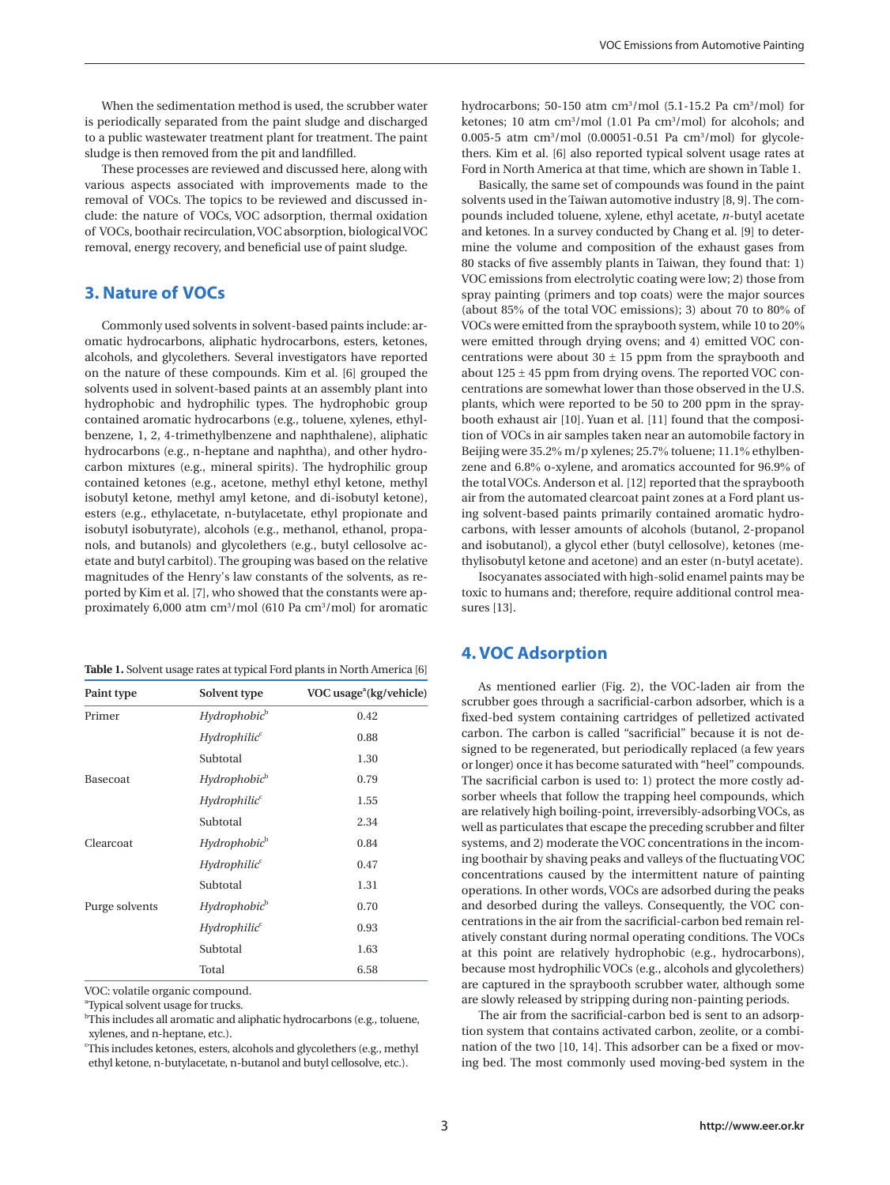When the sedimentation method is used, the scrubber water is periodically separated from the paint sludge and discharged to a public wastewater treatment plant for treatment. The paint sludge is then removed from the pit and landfilled.

These processes are reviewed and discussed here, along with various aspects associated with improvements made to the removal of VOCs. The topics to be reviewed and discussed include: the nature of VOCs, VOC adsorption, thermal oxidation of VOCs, boothair recirculation, VOC absorption, biological VOC removal, energy recovery, and beneficial use of paint sludge.

## **3. Nature of VOCs**

Commonly used solvents in solvent-based paints include: aromatic hydrocarbons, aliphatic hydrocarbons, esters, ketones, alcohols, and glycolethers. Several investigators have reported on the nature of these compounds. Kim et al. [6] grouped the solvents used in solvent-based paints at an assembly plant into hydrophobic and hydrophilic types. The hydrophobic group contained aromatic hydrocarbons (e.g., toluene, xylenes, ethylbenzene, 1, 2, 4-trimethylbenzene and naphthalene), aliphatic hydrocarbons (e.g., n-heptane and naphtha), and other hydrocarbon mixtures (e.g., mineral spirits). The hydrophilic group contained ketones (e.g., acetone, methyl ethyl ketone, methyl isobutyl ketone, methyl amyl ketone, and di-isobutyl ketone), esters (e.g., ethylacetate, n-butylacetate, ethyl propionate and isobutyl isobutyrate), alcohols (e.g., methanol, ethanol, propanols, and butanols) and glycolethers (e.g., butyl cellosolve acetate and butyl carbitol). The grouping was based on the relative magnitudes of the Henry's law constants of the solvents, as reported by Kim et al. [7], who showed that the constants were approximately 6,000 atm cm3 /mol (610 Pa cm3 /mol) for aromatic

| Table 1. Solvent usage rates at typical Ford plants in North America [6] |  |  |  |
|--------------------------------------------------------------------------|--|--|--|
|--------------------------------------------------------------------------|--|--|--|

| Paint type     | Solvent type             | VOC usage $a(kg/vehicle)$ |
|----------------|--------------------------|---------------------------|
| Primer         | Hydrophobic <sup>b</sup> | 0.42                      |
|                | Hydrophilic <sup>c</sup> | 0.88                      |
|                | Subtotal                 | 1.30                      |
| Basecoat       | Hydrophobic <sup>b</sup> | 0.79                      |
|                | Hydrophilic <sup>c</sup> | 1.55                      |
|                | Subtotal                 | 2.34                      |
| Clearcoat      | Hydrophobic <sup>b</sup> | 0.84                      |
|                | Hydrophilic <sup>c</sup> | 0.47                      |
|                | Subtotal                 | 1.31                      |
| Purge solvents | Hydrophobic <sup>b</sup> | 0.70                      |
|                | Hydrophilic <sup>c</sup> | 0.93                      |
|                | Subtotal                 | 1.63                      |
|                | Total                    | 6.58                      |

VOC: volatile organic compound.

<sup>a</sup>Typical solvent usage for trucks.

<sup>b</sup>This includes all aromatic and aliphatic hydrocarbons (e.g., toluene, xylenes, and n-heptane, etc.).

c This includes ketones, esters, alcohols and glycolethers (e.g., methyl ethyl ketone, n-butylacetate, n-butanol and butyl cellosolve, etc.).

hydrocarbons; 50-150 atm cm<sup>3</sup>/mol (5.1-15.2 Pa cm<sup>3</sup>/mol) for ketones; 10 atm cm3 /mol (1.01 Pa cm3 /mol) for alcohols; and 0.005-5 atm  $\text{cm}^3/\text{mol}$  (0.00051-0.51 Pa  $\text{cm}^3/\text{mol}$ ) for glycolethers. Kim et al. [6] also reported typical solvent usage rates at Ford in North America at that time, which are shown in Table 1.

Basically, the same set of compounds was found in the paint solvents used in the Taiwan automotive industry [8, 9]. The compounds included toluene, xylene, ethyl acetate, *n*-butyl acetate and ketones. In a survey conducted by Chang et al. [9] to determine the volume and composition of the exhaust gases from 80 stacks of five assembly plants in Taiwan, they found that: 1) VOC emissions from electrolytic coating were low; 2) those from spray painting (primers and top coats) were the major sources (about 85% of the total VOC emissions); 3) about 70 to 80% of VOCs were emitted from the spraybooth system, while 10 to 20% were emitted through drying ovens; and 4) emitted VOC concentrations were about  $30 \pm 15$  ppm from the spraybooth and about  $125 \pm 45$  ppm from drying ovens. The reported VOC concentrations are somewhat lower than those observed in the U.S. plants, which were reported to be 50 to 200 ppm in the spraybooth exhaust air [10]. Yuan et al. [11] found that the composition of VOCs in air samples taken near an automobile factory in Beijing were 35.2% m/p xylenes; 25.7% toluene; 11.1% ethylbenzene and 6.8% o-xylene, and aromatics accounted for 96.9% of the total VOCs. Anderson et al. [12] reported that the spraybooth air from the automated clearcoat paint zones at a Ford plant using solvent-based paints primarily contained aromatic hydrocarbons, with lesser amounts of alcohols (butanol, 2-propanol and isobutanol), a glycol ether (butyl cellosolve), ketones (methylisobutyl ketone and acetone) and an ester (n-butyl acetate).

Isocyanates associated with high-solid enamel paints may be toxic to humans and; therefore, require additional control measures [13].

#### **4. VOC Adsorption**

As mentioned earlier (Fig. 2), the VOC-laden air from the scrubber goes through a sacrificial-carbon adsorber, which is a fixed-bed system containing cartridges of pelletized activated carbon. The carbon is called "sacrificial" because it is not designed to be regenerated, but periodically replaced (a few years or longer) once it has become saturated with "heel" compounds. The sacrificial carbon is used to: 1) protect the more costly adsorber wheels that follow the trapping heel compounds, which are relatively high boiling-point, irreversibly-adsorbing VOCs, as well as particulates that escape the preceding scrubber and filter systems, and 2) moderate the VOC concentrations in the incoming boothair by shaving peaks and valleys of the fluctuating VOC concentrations caused by the intermittent nature of painting operations. In other words, VOCs are adsorbed during the peaks and desorbed during the valleys. Consequently, the VOC concentrations in the air from the sacrificial-carbon bed remain relatively constant during normal operating conditions. The VOCs at this point are relatively hydrophobic (e.g., hydrocarbons), because most hydrophilic VOCs (e.g., alcohols and glycolethers) are captured in the spraybooth scrubber water, although some are slowly released by stripping during non-painting periods.

The air from the sacrificial-carbon bed is sent to an adsorption system that contains activated carbon, zeolite, or a combination of the two [10, 14]. This adsorber can be a fixed or moving bed. The most commonly used moving-bed system in the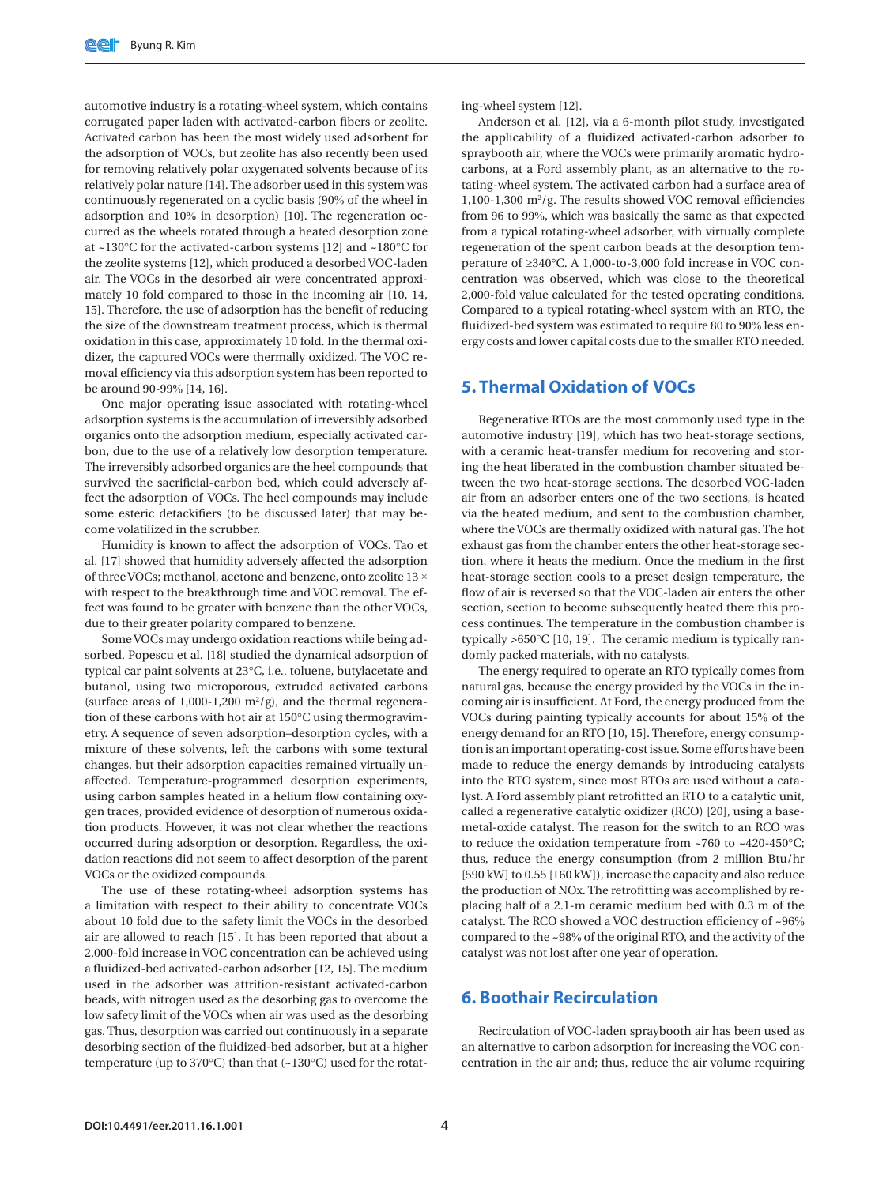automotive industry is a rotating-wheel system, which contains corrugated paper laden with activated-carbon fibers or zeolite. Activated carbon has been the most widely used adsorbent for the adsorption of VOCs, but zeolite has also recently been used for removing relatively polar oxygenated solvents because of its relatively polar nature [14]. The adsorber used in this system was continuously regenerated on a cyclic basis (90% of the wheel in adsorption and 10% in desorption) [10]. The regeneration occurred as the wheels rotated through a heated desorption zone at ~130°C for the activated-carbon systems [12] and ~180°C for the zeolite systems [12], which produced a desorbed VOC-laden air. The VOCs in the desorbed air were concentrated approximately 10 fold compared to those in the incoming air [10, 14, 15]. Therefore, the use of adsorption has the benefit of reducing the size of the downstream treatment process, which is thermal oxidation in this case, approximately 10 fold. In the thermal oxidizer, the captured VOCs were thermally oxidized. The VOC removal efficiency via this adsorption system has been reported to be around 90-99% [14, 16].

One major operating issue associated with rotating-wheel adsorption systems is the accumulation of irreversibly adsorbed organics onto the adsorption medium, especially activated carbon, due to the use of a relatively low desorption temperature. The irreversibly adsorbed organics are the heel compounds that survived the sacrificial-carbon bed, which could adversely affect the adsorption of VOCs. The heel compounds may include some esteric detackifiers (to be discussed later) that may become volatilized in the scrubber.

Humidity is known to affect the adsorption of VOCs. Tao et al. [17] showed that humidity adversely affected the adsorption of three VOCs; methanol, acetone and benzene, onto zeolite 13 × with respect to the breakthrough time and VOC removal. The effect was found to be greater with benzene than the other VOCs, due to their greater polarity compared to benzene.

Some VOCs may undergo oxidation reactions while being adsorbed. Popescu et al. [18] studied the dynamical adsorption of typical car paint solvents at 23°C, i.e., toluene, butylacetate and butanol, using two microporous, extruded activated carbons (surface areas of  $1,000-1,200$  m<sup>2</sup>/g), and the thermal regeneration of these carbons with hot air at 150°C using thermogravimetry. A sequence of seven adsorption–desorption cycles, with a mixture of these solvents, left the carbons with some textural changes, but their adsorption capacities remained virtually unaffected. Temperature-programmed desorption experiments, using carbon samples heated in a helium flow containing oxygen traces, provided evidence of desorption of numerous oxidation products. However, it was not clear whether the reactions occurred during adsorption or desorption. Regardless, the oxidation reactions did not seem to affect desorption of the parent VOCs or the oxidized compounds.

The use of these rotating-wheel adsorption systems has a limitation with respect to their ability to concentrate VOCs about 10 fold due to the safety limit the VOCs in the desorbed air are allowed to reach [15]. It has been reported that about a 2,000-fold increase in VOC concentration can be achieved using a fluidized-bed activated-carbon adsorber [12, 15]. The medium used in the adsorber was attrition-resistant activated-carbon beads, with nitrogen used as the desorbing gas to overcome the low safety limit of the VOCs when air was used as the desorbing gas. Thus, desorption was carried out continuously in a separate desorbing section of the fluidized-bed adsorber, but at a higher temperature (up to 370°C) than that (~130°C) used for the rotating-wheel system [12].

Anderson et al. [12], via a 6-month pilot study, investigated the applicability of a fluidized activated-carbon adsorber to spraybooth air, where the VOCs were primarily aromatic hydrocarbons, at a Ford assembly plant, as an alternative to the rotating-wheel system. The activated carbon had a surface area of  $1,100-1,300$  m<sup>2</sup>/g. The results showed VOC removal efficiencies from 96 to 99%, which was basically the same as that expected from a typical rotating-wheel adsorber, with virtually complete regeneration of the spent carbon beads at the desorption temperature of ≥340°C. A 1,000-to-3,000 fold increase in VOC concentration was observed, which was close to the theoretical 2,000-fold value calculated for the tested operating conditions. Compared to a typical rotating-wheel system with an RTO, the fluidized-bed system was estimated to require 80 to 90% less energy costs and lower capital costs due to the smaller RTO needed.

### **5. Thermal Oxidation of VOCs**

Regenerative RTOs are the most commonly used type in the automotive industry [19], which has two heat-storage sections, with a ceramic heat-transfer medium for recovering and storing the heat liberated in the combustion chamber situated between the two heat-storage sections. The desorbed VOC-laden air from an adsorber enters one of the two sections, is heated via the heated medium, and sent to the combustion chamber, where the VOCs are thermally oxidized with natural gas. The hot exhaust gas from the chamber enters the other heat-storage section, where it heats the medium. Once the medium in the first heat-storage section cools to a preset design temperature, the flow of air is reversed so that the VOC-laden air enters the other section, section to become subsequently heated there this process continues. The temperature in the combustion chamber is typically >650°C [10, 19]. The ceramic medium is typically randomly packed materials, with no catalysts.

The energy required to operate an RTO typically comes from natural gas, because the energy provided by the VOCs in the incoming air is insufficient. At Ford, the energy produced from the VOCs during painting typically accounts for about 15% of the energy demand for an RTO [10, 15]. Therefore, energy consumption is an important operating-cost issue. Some efforts have been made to reduce the energy demands by introducing catalysts into the RTO system, since most RTOs are used without a catalyst. A Ford assembly plant retrofitted an RTO to a catalytic unit, called a regenerative catalytic oxidizer (RCO) [20], using a basemetal-oxide catalyst. The reason for the switch to an RCO was to reduce the oxidation temperature from ~760 to ~420-450°C; thus, reduce the energy consumption (from 2 million Btu/hr [590 kW] to 0.55 [160 kW]), increase the capacity and also reduce the production of NOx. The retrofitting was accomplished by replacing half of a 2.1-m ceramic medium bed with 0.3 m of the catalyst. The RCO showed a VOC destruction efficiency of ~96% compared to the ~98% of the original RTO, and the activity of the catalyst was not lost after one year of operation.

#### **6. Boothair Recirculation**

Recirculation of VOC-laden spraybooth air has been used as an alternative to carbon adsorption for increasing the VOC concentration in the air and; thus, reduce the air volume requiring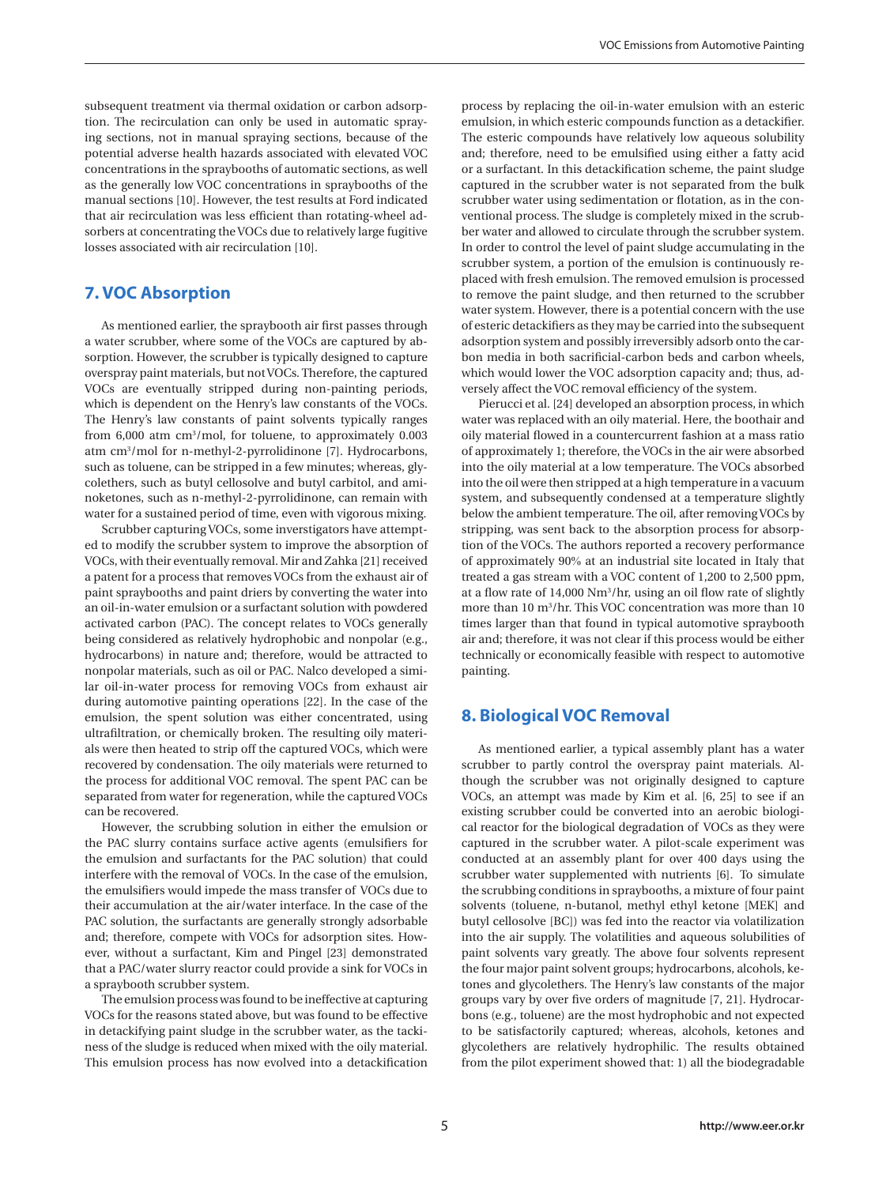subsequent treatment via thermal oxidation or carbon adsorption. The recirculation can only be used in automatic spraying sections, not in manual spraying sections, because of the potential adverse health hazards associated with elevated VOC concentrations in the spraybooths of automatic sections, as well as the generally low VOC concentrations in spraybooths of the manual sections [10]. However, the test results at Ford indicated that air recirculation was less efficient than rotating-wheel adsorbers at concentrating the VOCs due to relatively large fugitive losses associated with air recirculation [10].

## **7. VOC Absorption**

As mentioned earlier, the spraybooth air first passes through a water scrubber, where some of the VOCs are captured by absorption. However, the scrubber is typically designed to capture overspray paint materials, but not VOCs. Therefore, the captured VOCs are eventually stripped during non-painting periods, which is dependent on the Henry's law constants of the VOCs. The Henry's law constants of paint solvents typically ranges from 6,000 atm cm<sup>3</sup>/mol, for toluene, to approximately 0.003 atm cm3 /mol for n-methyl-2-pyrrolidinone [7]. Hydrocarbons, such as toluene, can be stripped in a few minutes; whereas, glycolethers, such as butyl cellosolve and butyl carbitol, and aminoketones, such as n-methyl-2-pyrrolidinone, can remain with water for a sustained period of time, even with vigorous mixing.

Scrubber capturing VOCs, some inverstigators have attempted to modify the scrubber system to improve the absorption of VOCs, with their eventually removal. Mir and Zahka [21] received a patent for a process that removes VOCs from the exhaust air of paint spraybooths and paint driers by converting the water into an oil-in-water emulsion or a surfactant solution with powdered activated carbon (PAC). The concept relates to VOCs generally being considered as relatively hydrophobic and nonpolar (e.g., hydrocarbons) in nature and; therefore, would be attracted to nonpolar materials, such as oil or PAC. Nalco developed a similar oil-in-water process for removing VOCs from exhaust air during automotive painting operations [22]. In the case of the emulsion, the spent solution was either concentrated, using ultrafiltration, or chemically broken. The resulting oily materials were then heated to strip off the captured VOCs, which were recovered by condensation. The oily materials were returned to the process for additional VOC removal. The spent PAC can be separated from water for regeneration, while the captured VOCs can be recovered.

However, the scrubbing solution in either the emulsion or the PAC slurry contains surface active agents (emulsifiers for the emulsion and surfactants for the PAC solution) that could interfere with the removal of VOCs. In the case of the emulsion, the emulsifiers would impede the mass transfer of VOCs due to their accumulation at the air/water interface. In the case of the PAC solution, the surfactants are generally strongly adsorbable and; therefore, compete with VOCs for adsorption sites. However, without a surfactant, Kim and Pingel [23] demonstrated that a PAC/water slurry reactor could provide a sink for VOCs in a spraybooth scrubber system.

The emulsion process was found to be ineffective at capturing VOCs for the reasons stated above, but was found to be effective in detackifying paint sludge in the scrubber water, as the tackiness of the sludge is reduced when mixed with the oily material. This emulsion process has now evolved into a detackification

process by replacing the oil-in-water emulsion with an esteric emulsion, in which esteric compounds function as a detackifier. The esteric compounds have relatively low aqueous solubility and; therefore, need to be emulsified using either a fatty acid or a surfactant. In this detackification scheme, the paint sludge captured in the scrubber water is not separated from the bulk scrubber water using sedimentation or flotation, as in the conventional process. The sludge is completely mixed in the scrubber water and allowed to circulate through the scrubber system. In order to control the level of paint sludge accumulating in the scrubber system, a portion of the emulsion is continuously replaced with fresh emulsion. The removed emulsion is processed to remove the paint sludge, and then returned to the scrubber water system. However, there is a potential concern with the use of esteric detackifiers as they may be carried into the subsequent adsorption system and possibly irreversibly adsorb onto the carbon media in both sacrificial-carbon beds and carbon wheels, which would lower the VOC adsorption capacity and; thus, adversely affect the VOC removal efficiency of the system.

Pierucci et al. [24] developed an absorption process, in which water was replaced with an oily material. Here, the boothair and oily material flowed in a countercurrent fashion at a mass ratio of approximately 1; therefore, the VOCs in the air were absorbed into the oily material at a low temperature. The VOCs absorbed into the oil were then stripped at a high temperature in a vacuum system, and subsequently condensed at a temperature slightly below the ambient temperature. The oil, after removing VOCs by stripping, was sent back to the absorption process for absorption of the VOCs. The authors reported a recovery performance of approximately 90% at an industrial site located in Italy that treated a gas stream with a VOC content of 1,200 to 2,500 ppm, at a flow rate of 14,000 Nm3 /hr, using an oil flow rate of slightly more than 10 m3 /hr. This VOC concentration was more than 10 times larger than that found in typical automotive spraybooth air and; therefore, it was not clear if this process would be either technically or economically feasible with respect to automotive painting.

## **8. Biological VOC Removal**

As mentioned earlier, a typical assembly plant has a water scrubber to partly control the overspray paint materials. Although the scrubber was not originally designed to capture VOCs, an attempt was made by Kim et al. [6, 25] to see if an existing scrubber could be converted into an aerobic biological reactor for the biological degradation of VOCs as they were captured in the scrubber water. A pilot-scale experiment was conducted at an assembly plant for over 400 days using the scrubber water supplemented with nutrients [6]. To simulate the scrubbing conditions in spraybooths, a mixture of four paint solvents (toluene, n-butanol, methyl ethyl ketone [MEK] and butyl cellosolve [BC]) was fed into the reactor via volatilization into the air supply. The volatilities and aqueous solubilities of paint solvents vary greatly. The above four solvents represent the four major paint solvent groups; hydrocarbons, alcohols, ketones and glycolethers. The Henry's law constants of the major groups vary by over five orders of magnitude [7, 21]. Hydrocarbons (e.g., toluene) are the most hydrophobic and not expected to be satisfactorily captured; whereas, alcohols, ketones and glycolethers are relatively hydrophilic. The results obtained from the pilot experiment showed that: 1) all the biodegradable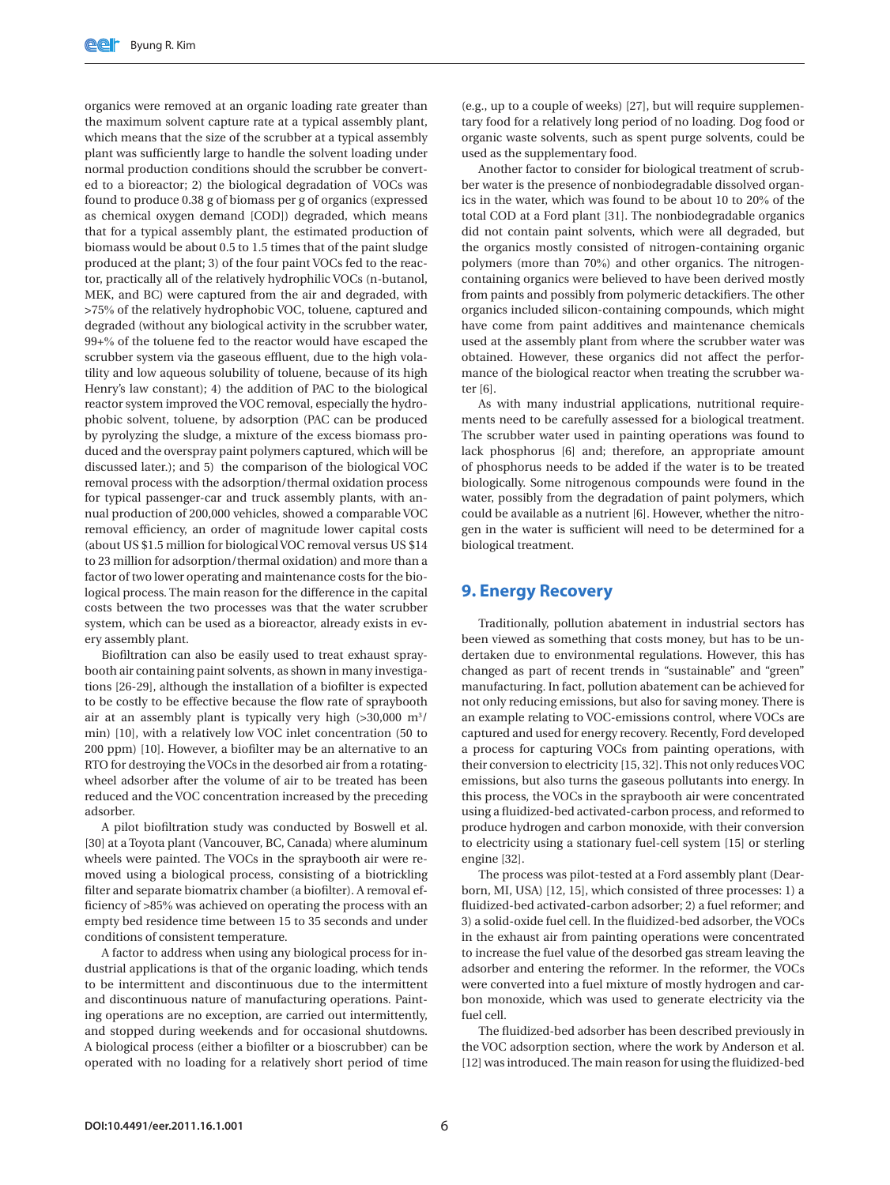organics were removed at an organic loading rate greater than the maximum solvent capture rate at a typical assembly plant, which means that the size of the scrubber at a typical assembly plant was sufficiently large to handle the solvent loading under normal production conditions should the scrubber be converted to a bioreactor; 2) the biological degradation of VOCs was found to produce 0.38 g of biomass per g of organics (expressed as chemical oxygen demand [COD]) degraded, which means that for a typical assembly plant, the estimated production of biomass would be about 0.5 to 1.5 times that of the paint sludge produced at the plant; 3) of the four paint VOCs fed to the reactor, practically all of the relatively hydrophilic VOCs (n-butanol, MEK, and BC) were captured from the air and degraded, with >75% of the relatively hydrophobic VOC, toluene, captured and degraded (without any biological activity in the scrubber water, 99+% of the toluene fed to the reactor would have escaped the scrubber system via the gaseous effluent, due to the high volatility and low aqueous solubility of toluene, because of its high Henry's law constant); 4) the addition of PAC to the biological reactor system improved the VOC removal, especially the hydrophobic solvent, toluene, by adsorption (PAC can be produced by pyrolyzing the sludge, a mixture of the excess biomass produced and the overspray paint polymers captured, which will be discussed later.); and 5) the comparison of the biological VOC removal process with the adsorption/thermal oxidation process for typical passenger-car and truck assembly plants, with annual production of 200,000 vehicles, showed a comparable VOC removal efficiency, an order of magnitude lower capital costs (about US \$1.5 million for biological VOC removal versus US \$14 to 23 million for adsorption/thermal oxidation) and more than a factor of two lower operating and maintenance costs for the biological process. The main reason for the difference in the capital costs between the two processes was that the water scrubber system, which can be used as a bioreactor, already exists in every assembly plant.

Biofiltration can also be easily used to treat exhaust spraybooth air containing paint solvents, as shown in many investigations [26-29], although the installation of a biofilter is expected to be costly to be effective because the flow rate of spraybooth air at an assembly plant is typically very high (>30,000 m<sup>3</sup>/ min) [10], with a relatively low VOC inlet concentration (50 to 200 ppm) [10]. However, a biofilter may be an alternative to an RTO for destroying the VOCs in the desorbed air from a rotatingwheel adsorber after the volume of air to be treated has been reduced and the VOC concentration increased by the preceding adsorber.

A pilot biofiltration study was conducted by Boswell et al. [30] at a Toyota plant (Vancouver, BC, Canada) where aluminum wheels were painted. The VOCs in the spraybooth air were removed using a biological process, consisting of a biotrickling filter and separate biomatrix chamber (a biofilter). A removal efficiency of >85% was achieved on operating the process with an empty bed residence time between 15 to 35 seconds and under conditions of consistent temperature.

A factor to address when using any biological process for industrial applications is that of the organic loading, which tends to be intermittent and discontinuous due to the intermittent and discontinuous nature of manufacturing operations. Painting operations are no exception, are carried out intermittently, and stopped during weekends and for occasional shutdowns. A biological process (either a biofilter or a bioscrubber) can be operated with no loading for a relatively short period of time

(e.g., up to a couple of weeks) [27], but will require supplementary food for a relatively long period of no loading. Dog food or organic waste solvents, such as spent purge solvents, could be used as the supplementary food.

Another factor to consider for biological treatment of scrubber water is the presence of nonbiodegradable dissolved organics in the water, which was found to be about 10 to 20% of the total COD at a Ford plant [31]. The nonbiodegradable organics did not contain paint solvents, which were all degraded, but the organics mostly consisted of nitrogen-containing organic polymers (more than 70%) and other organics. The nitrogencontaining organics were believed to have been derived mostly from paints and possibly from polymeric detackifiers. The other organics included silicon-containing compounds, which might have come from paint additives and maintenance chemicals used at the assembly plant from where the scrubber water was obtained. However, these organics did not affect the performance of the biological reactor when treating the scrubber water [6].

As with many industrial applications, nutritional requirements need to be carefully assessed for a biological treatment. The scrubber water used in painting operations was found to lack phosphorus [6] and; therefore, an appropriate amount of phosphorus needs to be added if the water is to be treated biologically. Some nitrogenous compounds were found in the water, possibly from the degradation of paint polymers, which could be available as a nutrient [6]. However, whether the nitrogen in the water is sufficient will need to be determined for a biological treatment.

#### **9. Energy Recovery**

Traditionally, pollution abatement in industrial sectors has been viewed as something that costs money, but has to be undertaken due to environmental regulations. However, this has changed as part of recent trends in "sustainable" and "green" manufacturing. In fact, pollution abatement can be achieved for not only reducing emissions, but also for saving money. There is an example relating to VOC-emissions control, where VOCs are captured and used for energy recovery. Recently, Ford developed a process for capturing VOCs from painting operations, with their conversion to electricity [15, 32]. This not only reduces VOC emissions, but also turns the gaseous pollutants into energy. In this process, the VOCs in the spraybooth air were concentrated using a fluidized-bed activated-carbon process, and reformed to produce hydrogen and carbon monoxide, with their conversion to electricity using a stationary fuel-cell system [15] or sterling engine [32].

The process was pilot-tested at a Ford assembly plant (Dearborn, MI, USA) [12, 15], which consisted of three processes: 1) a fluidized-bed activated-carbon adsorber; 2) a fuel reformer; and 3) a solid-oxide fuel cell. In the fluidized-bed adsorber, the VOCs in the exhaust air from painting operations were concentrated to increase the fuel value of the desorbed gas stream leaving the adsorber and entering the reformer. In the reformer, the VOCs were converted into a fuel mixture of mostly hydrogen and carbon monoxide, which was used to generate electricity via the fuel cell.

The fluidized-bed adsorber has been described previously in the VOC adsorption section, where the work by Anderson et al. [12] was introduced. The main reason for using the fluidized-bed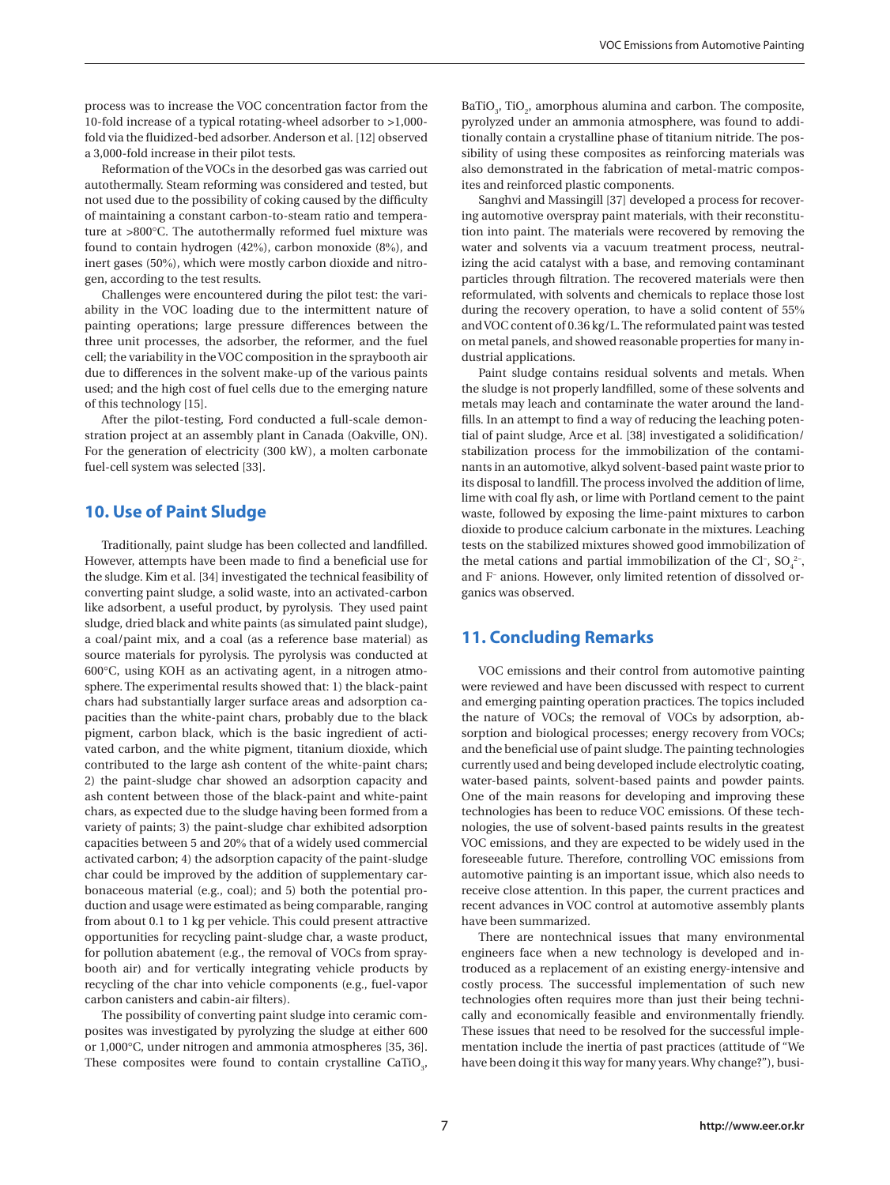process was to increase the VOC concentration factor from the 10-fold increase of a typical rotating-wheel adsorber to >1,000 fold via the fluidized-bed adsorber. Anderson et al. [12] observed a 3,000-fold increase in their pilot tests.

Reformation of the VOCs in the desorbed gas was carried out autothermally. Steam reforming was considered and tested, but not used due to the possibility of coking caused by the difficulty of maintaining a constant carbon-to-steam ratio and temperature at >800°C. The autothermally reformed fuel mixture was found to contain hydrogen (42%), carbon monoxide (8%), and inert gases (50%), which were mostly carbon dioxide and nitrogen, according to the test results.

Challenges were encountered during the pilot test: the variability in the VOC loading due to the intermittent nature of painting operations; large pressure differences between the three unit processes, the adsorber, the reformer, and the fuel cell; the variability in the VOC composition in the spraybooth air due to differences in the solvent make-up of the various paints used; and the high cost of fuel cells due to the emerging nature of this technology [15].

After the pilot-testing, Ford conducted a full-scale demonstration project at an assembly plant in Canada (Oakville, ON). For the generation of electricity (300 kW), a molten carbonate fuel-cell system was selected [33].

#### **10. Use of Paint Sludge**

Traditionally, paint sludge has been collected and landfilled. However, attempts have been made to find a beneficial use for the sludge. Kim et al. [34] investigated the technical feasibility of converting paint sludge, a solid waste, into an activated-carbon like adsorbent, a useful product, by pyrolysis. They used paint sludge, dried black and white paints (as simulated paint sludge), a coal/paint mix, and a coal (as a reference base material) as source materials for pyrolysis. The pyrolysis was conducted at 600°C, using KOH as an activating agent, in a nitrogen atmosphere. The experimental results showed that: 1) the black-paint chars had substantially larger surface areas and adsorption capacities than the white-paint chars, probably due to the black pigment, carbon black, which is the basic ingredient of activated carbon, and the white pigment, titanium dioxide, which contributed to the large ash content of the white-paint chars; 2) the paint-sludge char showed an adsorption capacity and ash content between those of the black-paint and white-paint chars, as expected due to the sludge having been formed from a variety of paints; 3) the paint-sludge char exhibited adsorption capacities between 5 and 20% that of a widely used commercial activated carbon; 4) the adsorption capacity of the paint-sludge char could be improved by the addition of supplementary carbonaceous material (e.g., coal); and 5) both the potential production and usage were estimated as being comparable, ranging from about 0.1 to 1 kg per vehicle. This could present attractive opportunities for recycling paint-sludge char, a waste product, for pollution abatement (e.g., the removal of VOCs from spraybooth air) and for vertically integrating vehicle products by recycling of the char into vehicle components (e.g., fuel-vapor carbon canisters and cabin-air filters).

The possibility of converting paint sludge into ceramic composites was investigated by pyrolyzing the sludge at either 600 or 1,000°C, under nitrogen and ammonia atmospheres [35, 36]. These composites were found to contain crystalline  $CaTiO<sub>3</sub>$ ,

BaTiO<sub>3</sub>, TiO<sub>2</sub>, amorphous alumina and carbon. The composite, pyrolyzed under an ammonia atmosphere, was found to additionally contain a crystalline phase of titanium nitride. The possibility of using these composites as reinforcing materials was also demonstrated in the fabrication of metal-matric composites and reinforced plastic components.

Sanghvi and Massingill [37] developed a process for recovering automotive overspray paint materials, with their reconstitution into paint. The materials were recovered by removing the water and solvents via a vacuum treatment process, neutralizing the acid catalyst with a base, and removing contaminant particles through filtration. The recovered materials were then reformulated, with solvents and chemicals to replace those lost during the recovery operation, to have a solid content of 55% and VOC content of 0.36 kg/L. The reformulated paint was tested on metal panels, and showed reasonable properties for many industrial applications.

Paint sludge contains residual solvents and metals. When the sludge is not properly landfilled, some of these solvents and metals may leach and contaminate the water around the landfills. In an attempt to find a way of reducing the leaching potential of paint sludge, Arce et al. [38] investigated a solidification/ stabilization process for the immobilization of the contaminants in an automotive, alkyd solvent-based paint waste prior to its disposal to landfill. The process involved the addition of lime, lime with coal fly ash, or lime with Portland cement to the paint waste, followed by exposing the lime-paint mixtures to carbon dioxide to produce calcium carbonate in the mixtures. Leaching tests on the stabilized mixtures showed good immobilization of the metal cations and partial immobilization of the Cl-,  $SO_4^2$ and F− anions. However, only limited retention of dissolved organics was observed.

### **11. Concluding Remarks**

VOC emissions and their control from automotive painting were reviewed and have been discussed with respect to current and emerging painting operation practices. The topics included the nature of VOCs; the removal of VOCs by adsorption, absorption and biological processes; energy recovery from VOCs; and the beneficial use of paint sludge. The painting technologies currently used and being developed include electrolytic coating, water-based paints, solvent-based paints and powder paints. One of the main reasons for developing and improving these technologies has been to reduce VOC emissions. Of these technologies, the use of solvent-based paints results in the greatest VOC emissions, and they are expected to be widely used in the foreseeable future. Therefore, controlling VOC emissions from automotive painting is an important issue, which also needs to receive close attention. In this paper, the current practices and recent advances in VOC control at automotive assembly plants have been summarized.

There are nontechnical issues that many environmental engineers face when a new technology is developed and introduced as a replacement of an existing energy-intensive and costly process. The successful implementation of such new technologies often requires more than just their being technically and economically feasible and environmentally friendly. These issues that need to be resolved for the successful implementation include the inertia of past practices (attitude of "We have been doing it this way for many years. Why change?"), busi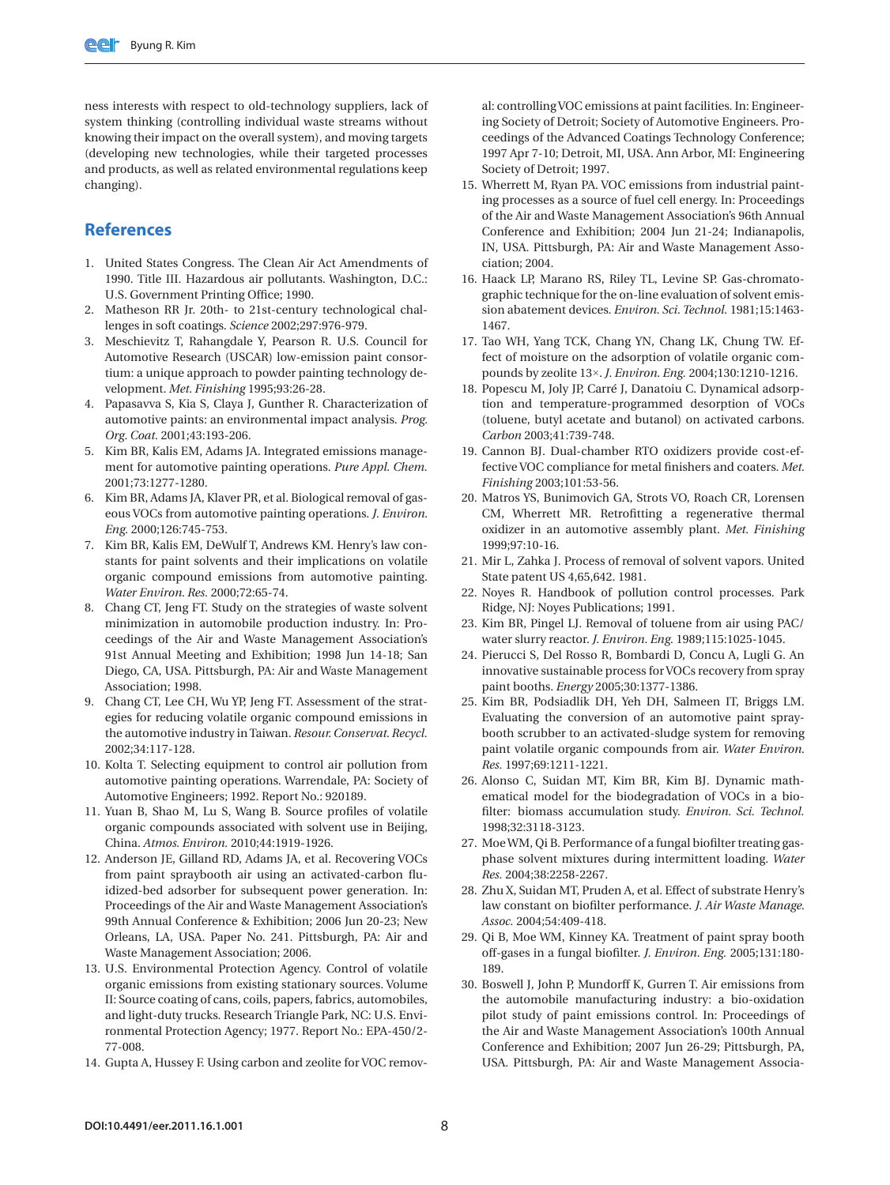ness interests with respect to old-technology suppliers, lack of system thinking (controlling individual waste streams without knowing their impact on the overall system), and moving targets (developing new technologies, while their targeted processes and products, as well as related environmental regulations keep changing).

#### **References**

- 1. United States Congress. The Clean Air Act Amendments of 1990. Title III. Hazardous air pollutants. Washington, D.C.: U.S. Government Printing Office; 1990.
- 2. Matheson RR Jr. 20th- to 21st-century technological challenges in soft coatings. *Science* 2002;297:976-979.
- 3. Meschievitz T, Rahangdale Y, Pearson R. U.S. Council for Automotive Research (USCAR) low-emission paint consortium: a unique approach to powder painting technology development. *Met. Finishing* 1995;93:26-28.
- 4. Papasavva S, Kia S, Claya J, Gunther R. Characterization of automotive paints: an environmental impact analysis. *Prog. Org. Coat.* 2001;43:193-206.
- 5. Kim BR, Kalis EM, Adams JA. Integrated emissions management for automotive painting operations. *Pure Appl. Chem.* 2001;73:1277-1280.
- 6. Kim BR, Adams JA, Klaver PR, et al. Biological removal of gaseous VOCs from automotive painting operations. *J. Environ. Eng.* 2000;126:745-753.
- 7. Kim BR, Kalis EM, DeWulf T, Andrews KM. Henry's law constants for paint solvents and their implications on volatile organic compound emissions from automotive painting. *Water Environ. Res.* 2000;72:65-74.
- 8. Chang CT, Jeng FT. Study on the strategies of waste solvent minimization in automobile production industry. In: Proceedings of the Air and Waste Management Association's 91st Annual Meeting and Exhibition; 1998 Jun 14-18; San Diego, CA, USA. Pittsburgh, PA: Air and Waste Management Association; 1998.
- 9. Chang CT, Lee CH, Wu YP, Jeng FT. Assessment of the strategies for reducing volatile organic compound emissions in the automotive industry in Taiwan. *Resour. Conservat. Recycl.* 2002;34:117-128.
- 10. Kolta T. Selecting equipment to control air pollution from automotive painting operations. Warrendale, PA: Society of Automotive Engineers; 1992. Report No.: 920189.
- 11. Yuan B, Shao M, Lu S, Wang B. Source profiles of volatile organic compounds associated with solvent use in Beijing, China. *Atmos. Environ.* 2010;44:1919-1926.
- 12. Anderson JE, Gilland RD, Adams JA, et al. Recovering VOCs from paint spraybooth air using an activated-carbon fluidized-bed adsorber for subsequent power generation. In: Proceedings of the Air and Waste Management Association's 99th Annual Conference & Exhibition; 2006 Jun 20-23; New Orleans, LA, USA. Paper No. 241. Pittsburgh, PA: Air and Waste Management Association; 2006.
- 13. U.S. Environmental Protection Agency. Control of volatile organic emissions from existing stationary sources. Volume II: Source coating of cans, coils, papers, fabrics, automobiles, and light-duty trucks. Research Triangle Park, NC: U.S. Environmental Protection Agency; 1977. Report No.: EPA-450/2- 77-008.
- 14. Gupta A, Hussey F. Using carbon and zeolite for VOC remov-

al: controlling VOC emissions at paint facilities. In: Engineering Society of Detroit; Society of Automotive Engineers. Proceedings of the Advanced Coatings Technology Conference; 1997 Apr 7-10; Detroit, MI, USA. Ann Arbor, MI: Engineering Society of Detroit; 1997.

- 15. Wherrett M, Ryan PA. VOC emissions from industrial painting processes as a source of fuel cell energy. In: Proceedings of the Air and Waste Management Association's 96th Annual Conference and Exhibition; 2004 Jun 21-24; Indianapolis, IN, USA. Pittsburgh, PA: Air and Waste Management Association; 2004.
- 16. Haack LP, Marano RS, Riley TL, Levine SP. Gas-chromatographic technique for the on-line evaluation of solvent emission abatement devices. *Environ. Sci. Technol.* 1981;15:1463- 1467.
- 17. Tao WH, Yang TCK, Chang YN, Chang LK, Chung TW. Effect of moisture on the adsorption of volatile organic compounds by zeolite 13×. *J. Environ. Eng.* 2004;130:1210-1216.
- 18. Popescu M, Joly JP, Carré J, Danatoiu C. Dynamical adsorption and temperature-programmed desorption of VOCs (toluene, butyl acetate and butanol) on activated carbons. *Carbon* 2003;41:739-748.
- 19. Cannon BJ. Dual-chamber RTO oxidizers provide cost-effective VOC compliance for metal finishers and coaters. *Met. Finishing* 2003;101:53-56.
- 20. Matros YS, Bunimovich GA, Strots VO, Roach CR, Lorensen CM, Wherrett MR. Retrofitting a regenerative thermal oxidizer in an automotive assembly plant. *Met. Finishing* 1999;97:10-16.
- 21. Mir L, Zahka J. Process of removal of solvent vapors. United State patent US 4,65,642. 1981.
- 22. Noyes R. Handbook of pollution control processes. Park Ridge, NJ: Noyes Publications; 1991.
- 23. Kim BR, Pingel LJ. Removal of toluene from air using PAC/ water slurry reactor. *J. Environ. Eng.* 1989;115:1025-1045.
- 24. Pierucci S, Del Rosso R, Bombardi D, Concu A, Lugli G. An innovative sustainable process for VOCs recovery from spray paint booths. *Energy* 2005;30:1377-1386.
- 25. Kim BR, Podsiadlik DH, Yeh DH, Salmeen IT, Briggs LM. Evaluating the conversion of an automotive paint spraybooth scrubber to an activated-sludge system for removing paint volatile organic compounds from air. *Water Environ. Res.* 1997;69:1211-1221.
- 26. Alonso C, Suidan MT, Kim BR, Kim BJ. Dynamic mathematical model for the biodegradation of VOCs in a biofilter: biomass accumulation study. *Environ. Sci. Technol.* 1998;32:3118-3123.
- 27. Moe WM, Qi B. Performance of a fungal biofilter treating gasphase solvent mixtures during intermittent loading. *Water Res.* 2004;38:2258-2267.
- 28. Zhu X, Suidan MT, Pruden A, et al. Effect of substrate Henry's law constant on biofilter performance. *J. Air Waste Manage. Assoc.* 2004;54:409-418.
- 29. Qi B, Moe WM, Kinney KA. Treatment of paint spray booth off-gases in a fungal biofilter. *J. Environ. Eng.* 2005;131:180- 189.
- 30. Boswell J, John P, Mundorff K, Gurren T. Air emissions from the automobile manufacturing industry: a bio-oxidation pilot study of paint emissions control. In: Proceedings of the Air and Waste Management Association's 100th Annual Conference and Exhibition; 2007 Jun 26-29; Pittsburgh, PA, USA. Pittsburgh, PA: Air and Waste Management Associa-